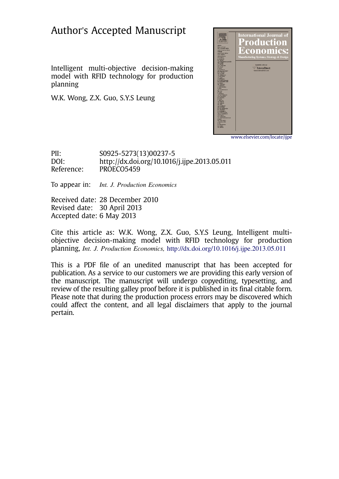## Author's Accepted Manuscript

Intelligent multi-objective decision-making model with RFID technology for production planning

W.K. Wong, Z.X. Guo, S.Y.S Leung



www.elsevier.com/locate/ijpe

PII: S0925-5273(13)00237-5 DOI: http://dx.doi.org/10.1016/j.ijpe.2013.05.011 Reference: PROECO5459

To appear in: *Int. J. Production Economics* 

Received date: 28 December 2010 Revised date: 30 April 2013 Accepted date: 6 May 2013

Cite this article as: W.K. Wong, Z.X. Guo, S.Y.S Leung, Intelligent multiobjective decision-making model with RFID technology for production planning, Int. J. Production Economics, http://dx.doi.org/10.1016/j.ijpe.2013.05.011

This is a PDF file of an unedited manuscript that has been accepted for publication. As a service to our customers we are providing this early version of the manuscript. The manuscript will undergo copyediting, typesetting, and review of the resulting galley proof before it is published in its final citable form. Please note that during the production process errors may be discovered which could affect the content, and all legal disclaimers that apply to the journal pertain.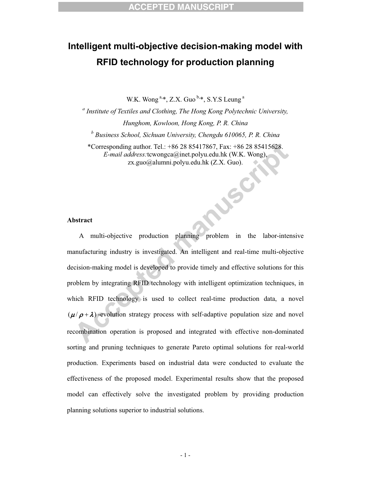## **Intelligent multi-objective decision-making model with RFID technology for production planning**

W.K. Wong<sup>a,\*</sup>, Z.X. Guo<sup>b,\*</sup>, S.Y.S Leung<sup>a</sup>

*a Institute of Textiles and Clothing, The Hong Kong Polytechnic University, Hunghom, Kowloon, Hong Kong, P. R. China b Business School, Sichuan University, Chengdu 610065, P. R. China* \*Corresponding author. Tel.: +86 28 85417867, Fax: +86 28 85415628.

*E-mail address:*tcwongca@inet.polyu.edu.hk (W.K. Wong), zx.guo@alumni.polyu.edu.hk (Z.X. Guo).

NUSCI

## **Abstract**

A multi-objective production planning problem in the labor-intensive manufacturing industry is investigated. An intelligent and real-time multi-objective decision-making model is developed to provide timely and effective solutions for this problem by integrating RFID technology with intelligent optimization techniques, in which RFID technology is used to collect real-time production data, a novel  $(\mu / \rho + \lambda)$ -evolution strategy process with self-adaptive population size and novel recombination operation is proposed and integrated with effective non-dominated sorting and pruning techniques to generate Pareto optimal solutions for real-world production. Experiments based on industrial data were conducted to evaluate the effectiveness of the proposed model. Experimental results show that the proposed model can effectively solve the investigated problem by providing production planning solutions superior to industrial solutions.